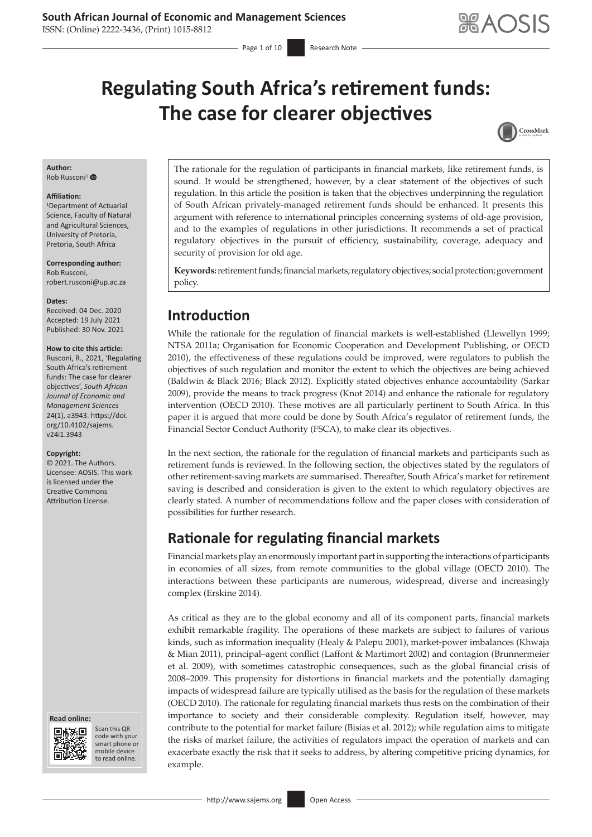ISSN: (Online) 2222-3436, (Print) 1015-8812

# **Regulating South Africa's retirement funds: The case for clearer objectives**



### **Author:**

Rob Rusconi<sup>1</sup> O

#### **Affiliation:**

1 Department of Actuarial Science, Faculty of Natural and Agricultural Sciences, University of Pretoria, Pretoria, South Africa

**Corresponding author:** Rob Rusconi, [robert.rusconi@up.ac.za](mailto:robert.rusconi@up.ac.za)

#### **Dates:**

Received: 04 Dec. 2020 Accepted: 19 July 2021 Published: 30 Nov. 2021

#### **How to cite this article:**

Rusconi, R., 2021, 'Regulating South Africa's retirement funds: The case for clearer objectives', *South African Journal of Economic and Management Sciences* 24(1), a3943. [https://doi.](https://doi.org/10.4102/sajems.v24i1.3943) [org/10.4102/sajems.](https://doi.org/10.4102/sajems.v24i1.3943) [v24i1.3943](https://doi.org/10.4102/sajems.v24i1.3943)

#### **Copyright:**

© 2021. The Authors. Licensee: AOSIS. This work is licensed under the Creative Commons Attribution License.





Scan this QR code with your Scan this QR<br>code with your<br>smart phone or<br>mobile device mobile device to read online. to read online.

The rationale for the regulation of participants in financial markets, like retirement funds, is sound. It would be strengthened, however, by a clear statement of the objectives of such regulation. In this article the position is taken that the objectives underpinning the regulation of South African privately-managed retirement funds should be enhanced. It presents this argument with reference to international principles concerning systems of old-age provision, and to the examples of regulations in other jurisdictions. It recommends a set of practical regulatory objectives in the pursuit of efficiency, sustainability, coverage, adequacy and security of provision for old age.

**Keywords:** retirement funds; financial markets; regulatory objectives; social protection; government policy.

### **Introduction**

While the rationale for the regulation of financial markets is well-established (Llewellyn 1999; NTSA 2011a; Organisation for Economic Cooperation and Development Publishing, or OECD 2010), the effectiveness of these regulations could be improved, were regulators to publish the objectives of such regulation and monitor the extent to which the objectives are being achieved (Baldwin & Black 2016; Black 2012). Explicitly stated objectives enhance accountability (Sarkar 2009), provide the means to track progress (Knot 2014) and enhance the rationale for regulatory intervention (OECD 2010). These motives are all particularly pertinent to South Africa. In this paper it is argued that more could be done by South Africa's regulator of retirement funds, the Financial Sector Conduct Authority (FSCA), to make clear its objectives.

In the next section, the rationale for the regulation of financial markets and participants such as retirement funds is reviewed. In the following section, the objectives stated by the regulators of other retirement-saving markets are summarised. Thereafter, South Africa's market for retirement saving is described and consideration is given to the extent to which regulatory objectives are clearly stated. A number of recommendations follow and the paper closes with consideration of possibilities for further research.

# **Rationale for regulating financial markets**

Financial markets play an enormously important part in supporting the interactions of participants in economies of all sizes, from remote communities to the global village (OECD 2010). The interactions between these participants are numerous, widespread, diverse and increasingly complex (Erskine 2014).

As critical as they are to the global economy and all of its component parts, financial markets exhibit remarkable fragility. The operations of these markets are subject to failures of various kinds, such as information inequality (Healy & Palepu 2001), market-power imbalances (Khwaja & Mian 2011), principal–agent conflict (Laffont & Martimort 2002) and contagion (Brunnermeier et al. 2009), with sometimes catastrophic consequences, such as the global financial crisis of 2008–2009. This propensity for distortions in financial markets and the potentially damaging impacts of widespread failure are typically utilised as the basis for the regulation of these markets (OECD 2010). The rationale for regulating financial markets thus rests on the combination of their importance to society and their considerable complexity. Regulation itself, however, may contribute to the potential for market failure (Bisias et al. 2012); while regulation aims to mitigate the risks of market failure, the activities of regulators impact the operation of markets and can exacerbate exactly the risk that it seeks to address, by altering competitive pricing dynamics, for example.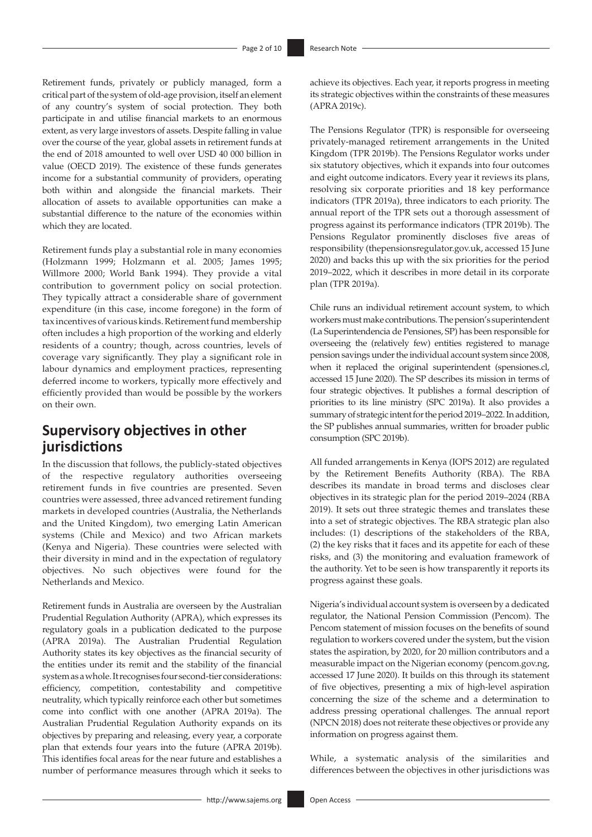Retirement funds, privately or publicly managed, form a critical part of the system of old-age provision, itself an element of any country's system of social protection. They both participate in and utilise financial markets to an enormous extent, as very large investors of assets. Despite falling in value over the course of the year, global assets in retirement funds at the end of 2018 amounted to well over USD 40 000 billion in value (OECD 2019). The existence of these funds generates income for a substantial community of providers, operating both within and alongside the financial markets. Their allocation of assets to available opportunities can make a substantial difference to the nature of the economies within which they are located.

Retirement funds play a substantial role in many economies (Holzmann 1999; Holzmann et al. 2005; James 1995; Willmore 2000; World Bank 1994). They provide a vital contribution to government policy on social protection. They typically attract a considerable share of government expenditure (in this case, income foregone) in the form of tax incentives of various kinds. Retirement fund membership often includes a high proportion of the working and elderly residents of a country; though, across countries, levels of coverage vary significantly. They play a significant role in labour dynamics and employment practices, representing deferred income to workers, typically more effectively and efficiently provided than would be possible by the workers on their own.

### **Supervisory objectives in other jurisdictions**

In the discussion that follows, the publicly-stated objectives of the respective regulatory authorities overseeing retirement funds in five countries are presented. Seven countries were assessed, three advanced retirement funding markets in developed countries (Australia, the Netherlands and the United Kingdom), two emerging Latin American systems (Chile and Mexico) and two African markets (Kenya and Nigeria). These countries were selected with their diversity in mind and in the expectation of regulatory objectives. No such objectives were found for the Netherlands and Mexico.

Retirement funds in Australia are overseen by the Australian Prudential Regulation Authority (APRA), which expresses its regulatory goals in a publication dedicated to the purpose (APRA 2019a). The Australian Prudential Regulation Authority states its key objectives as the financial security of the entities under its remit and the stability of the financial system as a whole. It recognises four second-tier considerations: efficiency, competition, contestability and competitive neutrality, which typically reinforce each other but sometimes come into conflict with one another (APRA 2019a). The Australian Prudential Regulation Authority expands on its objectives by preparing and releasing, every year, a corporate plan that extends four years into the future (APRA 2019b). This identifies focal areas for the near future and establishes a number of performance measures through which it seeks to

achieve its objectives. Each year, it reports progress in meeting its strategic objectives within the constraints of these measures (APRA 2019c).

The Pensions Regulator (TPR) is responsible for overseeing privately-managed retirement arrangements in the United Kingdom (TPR 2019b). The Pensions Regulator works under six statutory objectives, which it expands into four outcomes and eight outcome indicators. Every year it reviews its plans, resolving six corporate priorities and 18 key performance indicators (TPR 2019a), three indicators to each priority. The annual report of the TPR sets out a thorough assessment of progress against its performance indicators (TPR 2019b). The Pensions Regulator prominently discloses five areas of responsibility ([thepensionsregulator.gov.uk,](http://thepensionsregulator.gov.uk) accessed 15 June 2020) and backs this up with the six priorities for the period 2019–2022, which it describes in more detail in its corporate plan (TPR 2019a).

Chile runs an individual retirement account system, to which workers must make contributions. The pension's superintendent (La Superintendencia de Pensiones, SP) has been responsible for overseeing the (relatively few) entities registered to manage pension savings under the individual account system since 2008, when it replaced the original superintendent [\(spensiones.cl,](http://spensiones.cl) accessed 15 June 2020). The SP describes its mission in terms of four strategic objectives. It publishes a formal description of priorities to its line ministry (SPC 2019a). It also provides a summary of strategic intent for the period 2019–2022. In addition, the SP publishes annual summaries, written for broader public consumption (SPC 2019b).

All funded arrangements in Kenya (IOPS 2012) are regulated by the Retirement Benefits Authority (RBA). The RBA describes its mandate in broad terms and discloses clear objectives in its strategic plan for the period 2019–2024 (RBA 2019). It sets out three strategic themes and translates these into a set of strategic objectives. The RBA strategic plan also includes: (1) descriptions of the stakeholders of the RBA, (2) the key risks that it faces and its appetite for each of these risks, and (3) the monitoring and evaluation framework of the authority. Yet to be seen is how transparently it reports its progress against these goals.

Nigeria's individual account system is overseen by a dedicated regulator, the National Pension Commission (Pencom). The Pencom statement of mission focuses on the benefits of sound regulation to workers covered under the system, but the vision states the aspiration, by 2020, for 20 million contributors and a measurable impact on the Nigerian economy [\(pencom.gov.ng,](http://pencom.gov.ng) accessed 17 June 2020). It builds on this through its statement of five objectives, presenting a mix of high-level aspiration concerning the size of the scheme and a determination to address pressing operational challenges. The annual report (NPCN 2018) does not reiterate these objectives or provide any information on progress against them.

While, a systematic analysis of the similarities and differences between the objectives in other jurisdictions was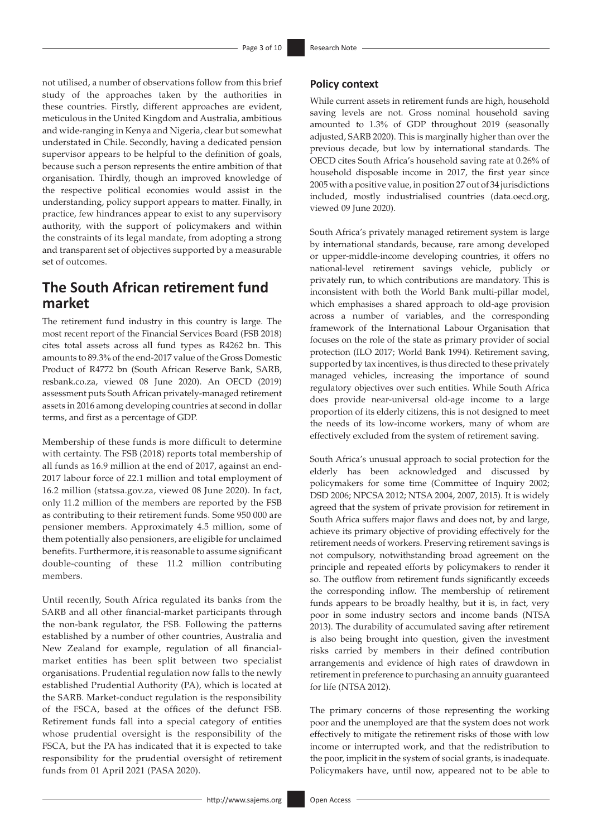not utilised, a number of observations follow from this brief study of the approaches taken by the authorities in these countries. Firstly, different approaches are evident, meticulous in the United Kingdom and Australia, ambitious and wide-ranging in Kenya and Nigeria, clear but somewhat understated in Chile. Secondly, having a dedicated pension supervisor appears to be helpful to the definition of goals, because such a person represents the entire ambition of that organisation. Thirdly, though an improved knowledge of the respective political economies would assist in the understanding, policy support appears to matter. Finally, in practice, few hindrances appear to exist to any supervisory authority, with the support of policymakers and within the constraints of its legal mandate, from adopting a strong and transparent set of objectives supported by a measurable set of outcomes.

# **The South African retirement fund market**

The retirement fund industry in this country is large. The most recent report of the Financial Services Board (FSB 2018) cites total assets across all fund types as R4262 bn. This amounts to 89.3% of the end-2017 value of the Gross Domestic Product of R4772 bn (South African Reserve Bank, SARB, [resbank.co.za](http://resbank.co.za), viewed 08 June 2020). An OECD (2019) assessment puts South African privately-managed retirement assets in 2016 among developing countries at second in dollar terms, and first as a percentage of GDP.

Membership of these funds is more difficult to determine with certainty. The FSB (2018) reports total membership of all funds as 16.9 million at the end of 2017, against an end-2017 labour force of 22.1 million and total employment of 16.2 million ([statssa.gov.za,](http://statssa.gov.za) viewed 08 June 2020). In fact, only 11.2 million of the members are reported by the FSB as contributing to their retirement funds. Some 950 000 are pensioner members. Approximately 4.5 million, some of them potentially also pensioners, are eligible for unclaimed benefits. Furthermore, it is reasonable to assume significant double-counting of these 11.2 million contributing members.

Until recently, South Africa regulated its banks from the SARB and all other financial-market participants through the non-bank regulator, the FSB. Following the patterns established by a number of other countries, Australia and New Zealand for example, regulation of all financialmarket entities has been split between two specialist organisations. Prudential regulation now falls to the newly established Prudential Authority (PA), which is located at the SARB. Market-conduct regulation is the responsibility of the FSCA, based at the offices of the defunct FSB. Retirement funds fall into a special category of entities whose prudential oversight is the responsibility of the FSCA, but the PA has indicated that it is expected to take responsibility for the prudential oversight of retirement funds from 01 April 2021 (PASA 2020).

#### **Policy context**

While current assets in retirement funds are high, household saving levels are not. Gross nominal household saving amounted to 1.3% of GDP throughout 2019 (seasonally adjusted, SARB 2020). This is marginally higher than over the previous decade, but low by international standards. The OECD cites South Africa's household saving rate at 0.26% of household disposable income in 2017, the first year since 2005 with a positive value, in position 27 out of 34 jurisdictions included, mostly industrialised countries ([data.oecd.org,](http://data.oecd.org) viewed 09 June 2020).

South Africa's privately managed retirement system is large by international standards, because, rare among developed or upper-middle-income developing countries, it offers no national-level retirement savings vehicle, publicly or privately run, to which contributions are mandatory. This is inconsistent with both the World Bank multi-pillar model, which emphasises a shared approach to old-age provision across a number of variables, and the corresponding framework of the International Labour Organisation that focuses on the role of the state as primary provider of social protection (ILO 2017; World Bank 1994). Retirement saving, supported by tax incentives, is thus directed to these privately managed vehicles, increasing the importance of sound regulatory objectives over such entities. While South Africa does provide near-universal old-age income to a large proportion of its elderly citizens, this is not designed to meet the needs of its low-income workers, many of whom are effectively excluded from the system of retirement saving.

South Africa's unusual approach to social protection for the elderly has been acknowledged and discussed by policymakers for some time (Committee of Inquiry 2002; DSD 2006; NPCSA 2012; NTSA 2004, 2007, 2015). It is widely agreed that the system of private provision for retirement in South Africa suffers major flaws and does not, by and large, achieve its primary objective of providing effectively for the retirement needs of workers. Preserving retirement savings is not compulsory, notwithstanding broad agreement on the principle and repeated efforts by policymakers to render it so. The outflow from retirement funds significantly exceeds the corresponding inflow. The membership of retirement funds appears to be broadly healthy, but it is, in fact, very poor in some industry sectors and income bands (NTSA 2013). The durability of accumulated saving after retirement is also being brought into question, given the investment risks carried by members in their defined contribution arrangements and evidence of high rates of drawdown in retirement in preference to purchasing an annuity guaranteed for life (NTSA 2012).

The primary concerns of those representing the working poor and the unemployed are that the system does not work effectively to mitigate the retirement risks of those with low income or interrupted work, and that the redistribution to the poor, implicit in the system of social grants, is inadequate. Policymakers have, until now, appeared not to be able to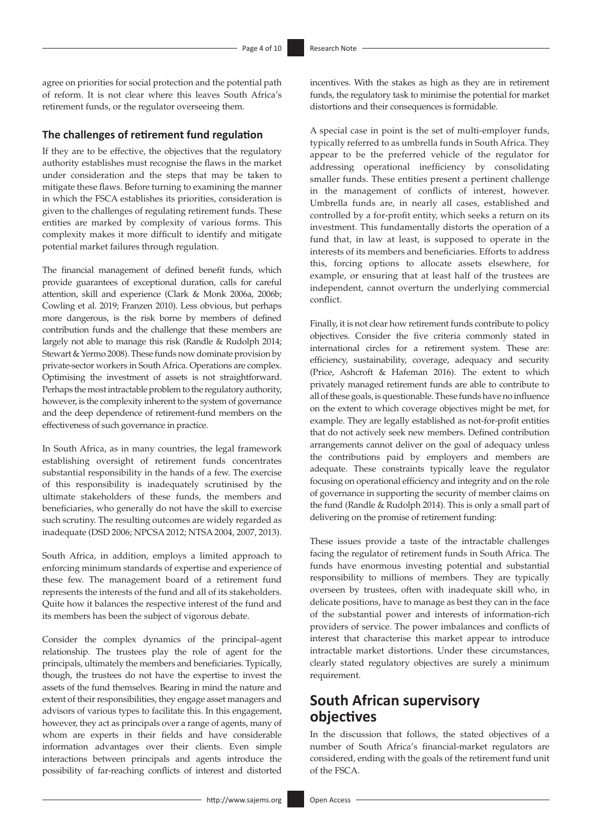agree on priorities for social protection and the potential path of reform. It is not clear where this leaves South Africa's retirement funds, or the regulator overseeing them.

#### **The challenges of retirement fund regulation**

If they are to be effective, the objectives that the regulatory authority establishes must recognise the flaws in the market under consideration and the steps that may be taken to mitigate these flaws. Before turning to examining the manner in which the FSCA establishes its priorities, consideration is given to the challenges of regulating retirement funds. These entities are marked by complexity of various forms. This complexity makes it more difficult to identify and mitigate potential market failures through regulation.

The financial management of defined benefit funds, which provide guarantees of exceptional duration, calls for careful attention, skill and experience (Clark & Monk 2006a, 2006b; Cowling et al. 2019; Franzen 2010). Less obvious, but perhaps more dangerous, is the risk borne by members of defined contribution funds and the challenge that these members are largely not able to manage this risk (Randle & Rudolph 2014; Stewart & Yermo 2008). These funds now dominate provision by private-sector workers in South Africa. Operations are complex. Optimising the investment of assets is not straightforward. Perhaps the most intractable problem to the regulatory authority, however, is the complexity inherent to the system of governance and the deep dependence of retirement-fund members on the effectiveness of such governance in practice.

In South Africa, as in many countries, the legal framework establishing oversight of retirement funds concentrates substantial responsibility in the hands of a few. The exercise of this responsibility is inadequately scrutinised by the ultimate stakeholders of these funds, the members and beneficiaries, who generally do not have the skill to exercise such scrutiny. The resulting outcomes are widely regarded as inadequate (DSD 2006; NPCSA 2012; NTSA 2004, 2007, 2013).

South Africa, in addition, employs a limited approach to enforcing minimum standards of expertise and experience of these few. The management board of a retirement fund represents the interests of the fund and all of its stakeholders. Quite how it balances the respective interest of the fund and its members has been the subject of vigorous debate.

Consider the complex dynamics of the principal–agent relationship. The trustees play the role of agent for the principals, ultimately the members and beneficiaries. Typically, though, the trustees do not have the expertise to invest the assets of the fund themselves. Bearing in mind the nature and extent of their responsibilities, they engage asset managers and advisors of various types to facilitate this. In this engagement, however, they act as principals over a range of agents, many of whom are experts in their fields and have considerable information advantages over their clients. Even simple interactions between principals and agents introduce the possibility of far-reaching conflicts of interest and distorted

incentives. With the stakes as high as they are in retirement funds, the regulatory task to minimise the potential for market distortions and their consequences is formidable.

A special case in point is the set of multi-employer funds, typically referred to as umbrella funds in South Africa. They appear to be the preferred vehicle of the regulator for addressing operational inefficiency by consolidating smaller funds. These entities present a pertinent challenge in the management of conflicts of interest, however. Umbrella funds are, in nearly all cases, established and controlled by a for-profit entity, which seeks a return on its investment. This fundamentally distorts the operation of a fund that, in law at least, is supposed to operate in the interests of its members and beneficiaries. Efforts to address this, forcing options to allocate assets elsewhere, for example, or ensuring that at least half of the trustees are independent, cannot overturn the underlying commercial conflict.

Finally, it is not clear how retirement funds contribute to policy objectives. Consider the five criteria commonly stated in international circles for a retirement system. These are: efficiency, sustainability, coverage, adequacy and security (Price, Ashcroft & Hafeman 2016). The extent to which privately managed retirement funds are able to contribute to all of these goals, is questionable. These funds have no influence on the extent to which coverage objectives might be met, for example. They are legally established as not-for-profit entities that do not actively seek new members. Defined contribution arrangements cannot deliver on the goal of adequacy unless the contributions paid by employers and members are adequate. These constraints typically leave the regulator focusing on operational efficiency and integrity and on the role of governance in supporting the security of member claims on the fund (Randle & Rudolph 2014). This is only a small part of delivering on the promise of retirement funding:

These issues provide a taste of the intractable challenges facing the regulator of retirement funds in South Africa. The funds have enormous investing potential and substantial responsibility to millions of members. They are typically overseen by trustees, often with inadequate skill who, in delicate positions, have to manage as best they can in the face of the substantial power and interests of information-rich providers of service. The power imbalances and conflicts of interest that characterise this market appear to introduce intractable market distortions. Under these circumstances, clearly stated regulatory objectives are surely a minimum requirement.

## **South African supervisory objectives**

In the discussion that follows, the stated objectives of a number of South Africa's financial-market regulators are considered, ending with the goals of the retirement fund unit of the FSCA.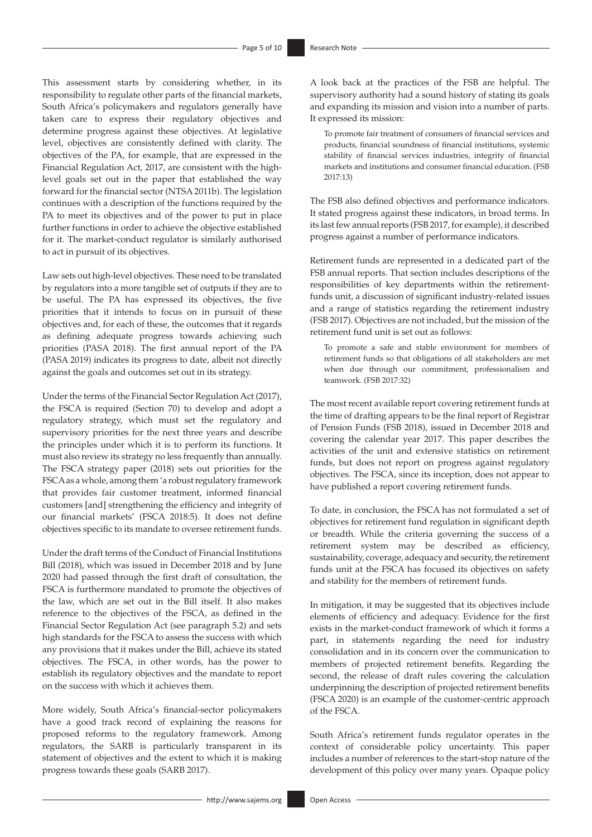This assessment starts by considering whether, in its responsibility to regulate other parts of the financial markets, South Africa's policymakers and regulators generally have taken care to express their regulatory objectives and determine progress against these objectives. At legislative level, objectives are consistently defined with clarity. The objectives of the PA, for example, that are expressed in the Financial Regulation Act, 2017, are consistent with the highlevel goals set out in the paper that established the way forward for the financial sector (NTSA 2011b). The legislation continues with a description of the functions required by the PA to meet its objectives and of the power to put in place further functions in order to achieve the objective established for it. The market-conduct regulator is similarly authorised to act in pursuit of its objectives.

Law sets out high-level objectives. These need to be translated by regulators into a more tangible set of outputs if they are to be useful. The PA has expressed its objectives, the five priorities that it intends to focus on in pursuit of these objectives and, for each of these, the outcomes that it regards as defining adequate progress towards achieving such priorities (PASA 2018). The first annual report of the PA (PASA 2019) indicates its progress to date, albeit not directly against the goals and outcomes set out in its strategy.

Under the terms of the Financial Sector Regulation Act (2017), the FSCA is required (Section 70) to develop and adopt a regulatory strategy, which must set the regulatory and supervisory priorities for the next three years and describe the principles under which it is to perform its functions. It must also review its strategy no less frequently than annually. The FSCA strategy paper (2018) sets out priorities for the FSCA as a whole, among them 'a robust regulatory framework that provides fair customer treatment, informed financial customers [and] strengthening the efficiency and integrity of our financial markets' (FSCA 2018:5). It does not define objectives specific to its mandate to oversee retirement funds.

Under the draft terms of the Conduct of Financial Institutions Bill (2018), which was issued in December 2018 and by June 2020 had passed through the first draft of consultation, the FSCA is furthermore mandated to promote the objectives of the law, which are set out in the Bill itself. It also makes reference to the objectives of the FSCA, as defined in the Financial Sector Regulation Act (see paragraph 5.2) and sets high standards for the FSCA to assess the success with which any provisions that it makes under the Bill, achieve its stated objectives. The FSCA, in other words, has the power to establish its regulatory objectives and the mandate to report on the success with which it achieves them.

More widely, South Africa's financial-sector policymakers have a good track record of explaining the reasons for proposed reforms to the regulatory framework. Among regulators, the SARB is particularly transparent in its statement of objectives and the extent to which it is making progress towards these goals (SARB 2017).

A look back at the practices of the FSB are helpful. The supervisory authority had a sound history of stating its goals and expanding its mission and vision into a number of parts. It expressed its mission:

To promote fair treatment of consumers of financial services and products, financial soundness of financial institutions, systemic stability of financial services industries, integrity of financial markets and institutions and consumer financial education. (FSB 2017:13)

The FSB also defined objectives and performance indicators. It stated progress against these indicators, in broad terms. In its last few annual reports (FSB 2017, for example), it described progress against a number of performance indicators.

Retirement funds are represented in a dedicated part of the FSB annual reports. That section includes descriptions of the responsibilities of key departments within the retirementfunds unit, a discussion of significant industry-related issues and a range of statistics regarding the retirement industry (FSB 2017). Objectives are not included, but the mission of the retirement fund unit is set out as follows:

To promote a safe and stable environment for members of retirement funds so that obligations of all stakeholders are met when due through our commitment, professionalism and teamwork. (FSB 2017:32)

The most recent available report covering retirement funds at the time of drafting appears to be the final report of Registrar of Pension Funds (FSB 2018), issued in December 2018 and covering the calendar year 2017. This paper describes the activities of the unit and extensive statistics on retirement funds, but does not report on progress against regulatory objectives. The FSCA, since its inception, does not appear to have published a report covering retirement funds.

To date, in conclusion, the FSCA has not formulated a set of objectives for retirement fund regulation in significant depth or breadth. While the criteria governing the success of a retirement system may be described as efficiency, sustainability, coverage, adequacy and security, the retirement funds unit at the FSCA has focused its objectives on safety and stability for the members of retirement funds.

In mitigation, it may be suggested that its objectives include elements of efficiency and adequacy. Evidence for the first exists in the market-conduct framework of which it forms a part, in statements regarding the need for industry consolidation and in its concern over the communication to members of projected retirement benefits. Regarding the second, the release of draft rules covering the calculation underpinning the description of projected retirement benefits (FSCA 2020) is an example of the customer-centric approach of the FSCA.

South Africa's retirement funds regulator operates in the context of considerable policy uncertainty. This paper includes a number of references to the start-stop nature of the development of this policy over many years. Opaque policy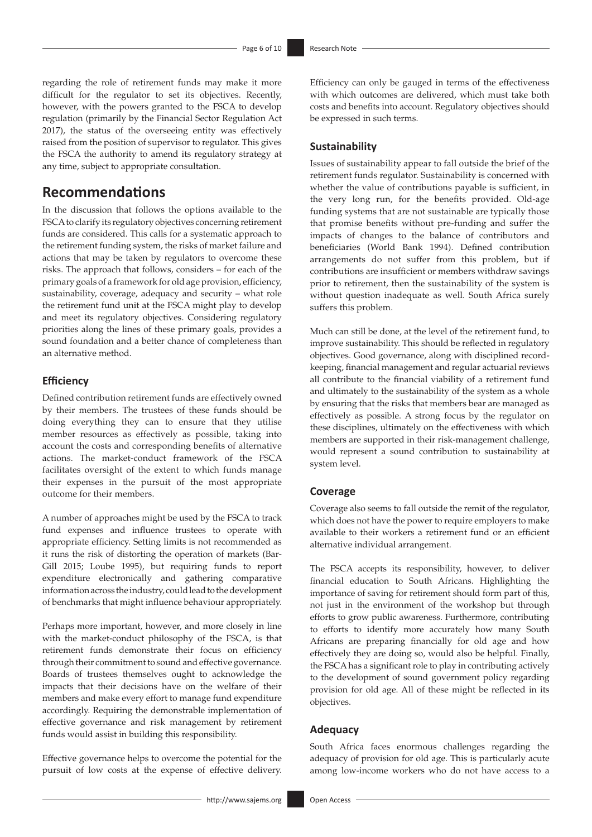regarding the role of retirement funds may make it more difficult for the regulator to set its objectives. Recently, however, with the powers granted to the FSCA to develop regulation (primarily by the Financial Sector Regulation Act 2017), the status of the overseeing entity was effectively raised from the position of supervisor to regulator. This gives the FSCA the authority to amend its regulatory strategy at any time, subject to appropriate consultation.

### **Recommendations**

In the discussion that follows the options available to the FSCA to clarify its regulatory objectives concerning retirement funds are considered. This calls for a systematic approach to the retirement funding system, the risks of market failure and actions that may be taken by regulators to overcome these risks. The approach that follows, considers – for each of the primary goals of a framework for old age provision, efficiency, sustainability, coverage, adequacy and security – what role the retirement fund unit at the FSCA might play to develop and meet its regulatory objectives. Considering regulatory priorities along the lines of these primary goals, provides a sound foundation and a better chance of completeness than an alternative method.

### **Efficiency**

Defined contribution retirement funds are effectively owned by their members. The trustees of these funds should be doing everything they can to ensure that they utilise member resources as effectively as possible, taking into account the costs and corresponding benefits of alternative actions. The market-conduct framework of the FSCA facilitates oversight of the extent to which funds manage their expenses in the pursuit of the most appropriate outcome for their members.

A number of approaches might be used by the FSCA to track fund expenses and influence trustees to operate with appropriate efficiency. Setting limits is not recommended as it runs the risk of distorting the operation of markets (Bar-Gill 2015; Loube 1995), but requiring funds to report expenditure electronically and gathering comparative information across the industry, could lead to the development of benchmarks that might influence behaviour appropriately.

Perhaps more important, however, and more closely in line with the market-conduct philosophy of the FSCA, is that retirement funds demonstrate their focus on efficiency through their commitment to sound and effective governance. Boards of trustees themselves ought to acknowledge the impacts that their decisions have on the welfare of their members and make every effort to manage fund expenditure accordingly. Requiring the demonstrable implementation of effective governance and risk management by retirement funds would assist in building this responsibility.

Effective governance helps to overcome the potential for the pursuit of low costs at the expense of effective delivery.

Efficiency can only be gauged in terms of the effectiveness with which outcomes are delivered, which must take both costs and benefits into account. Regulatory objectives should be expressed in such terms.

#### **Sustainability**

Issues of sustainability appear to fall outside the brief of the retirement funds regulator. Sustainability is concerned with whether the value of contributions payable is sufficient, in the very long run, for the benefits provided. Old-age funding systems that are not sustainable are typically those that promise benefits without pre-funding and suffer the impacts of changes to the balance of contributors and beneficiaries (World Bank 1994). Defined contribution arrangements do not suffer from this problem, but if contributions are insufficient or members withdraw savings prior to retirement, then the sustainability of the system is without question inadequate as well. South Africa surely suffers this problem.

Much can still be done, at the level of the retirement fund, to improve sustainability. This should be reflected in regulatory objectives. Good governance, along with disciplined recordkeeping, financial management and regular actuarial reviews all contribute to the financial viability of a retirement fund and ultimately to the sustainability of the system as a whole by ensuring that the risks that members bear are managed as effectively as possible. A strong focus by the regulator on these disciplines, ultimately on the effectiveness with which members are supported in their risk-management challenge, would represent a sound contribution to sustainability at system level.

#### **Coverage**

Coverage also seems to fall outside the remit of the regulator, which does not have the power to require employers to make available to their workers a retirement fund or an efficient alternative individual arrangement.

The FSCA accepts its responsibility, however, to deliver financial education to South Africans. Highlighting the importance of saving for retirement should form part of this, not just in the environment of the workshop but through efforts to grow public awareness. Furthermore, contributing to efforts to identify more accurately how many South Africans are preparing financially for old age and how effectively they are doing so, would also be helpful. Finally, the FSCA has a significant role to play in contributing actively to the development of sound government policy regarding provision for old age. All of these might be reflected in its objectives.

#### **Adequacy**

South Africa faces enormous challenges regarding the adequacy of provision for old age. This is particularly acute among low-income workers who do not have access to a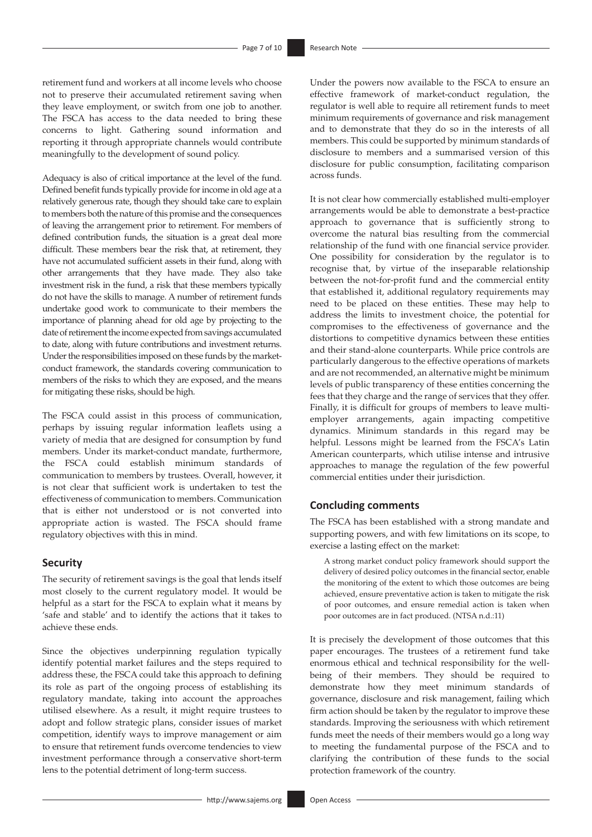retirement fund and workers at all income levels who choose not to preserve their accumulated retirement saving when they leave employment, or switch from one job to another. The FSCA has access to the data needed to bring these concerns to light. Gathering sound information and reporting it through appropriate channels would contribute meaningfully to the development of sound policy.

Adequacy is also of critical importance at the level of the fund. Defined benefit funds typically provide for income in old age at a relatively generous rate, though they should take care to explain to members both the nature of this promise and the consequences of leaving the arrangement prior to retirement. For members of defined contribution funds, the situation is a great deal more difficult. These members bear the risk that, at retirement, they have not accumulated sufficient assets in their fund, along with other arrangements that they have made. They also take investment risk in the fund, a risk that these members typically do not have the skills to manage. A number of retirement funds undertake good work to communicate to their members the importance of planning ahead for old age by projecting to the date of retirement the income expected from savings accumulated to date, along with future contributions and investment returns. Under the responsibilities imposed on these funds by the marketconduct framework, the standards covering communication to members of the risks to which they are exposed, and the means for mitigating these risks, should be high.

The FSCA could assist in this process of communication, perhaps by issuing regular information leaflets using a variety of media that are designed for consumption by fund members. Under its market-conduct mandate, furthermore, the FSCA could establish minimum standards of communication to members by trustees. Overall, however, it is not clear that sufficient work is undertaken to test the effectiveness of communication to members. Communication that is either not understood or is not converted into appropriate action is wasted. The FSCA should frame regulatory objectives with this in mind.

#### **Security**

The security of retirement savings is the goal that lends itself most closely to the current regulatory model. It would be helpful as a start for the FSCA to explain what it means by 'safe and stable' and to identify the actions that it takes to achieve these ends.

Since the objectives underpinning regulation typically identify potential market failures and the steps required to address these, the FSCA could take this approach to defining its role as part of the ongoing process of establishing its regulatory mandate, taking into account the approaches utilised elsewhere. As a result, it might require trustees to adopt and follow strategic plans, consider issues of market competition, identify ways to improve management or aim to ensure that retirement funds overcome tendencies to view investment performance through a conservative short-term lens to the potential detriment of long-term success.

Under the powers now available to the FSCA to ensure an effective framework of market-conduct regulation, the regulator is well able to require all retirement funds to meet minimum requirements of governance and risk management and to demonstrate that they do so in the interests of all members. This could be supported by minimum standards of disclosure to members and a summarised version of this disclosure for public consumption, facilitating comparison across funds.

It is not clear how commercially established multi-employer arrangements would be able to demonstrate a best-practice approach to governance that is sufficiently strong to overcome the natural bias resulting from the commercial relationship of the fund with one financial service provider. One possibility for consideration by the regulator is to recognise that, by virtue of the inseparable relationship between the not-for-profit fund and the commercial entity that established it, additional regulatory requirements may need to be placed on these entities. These may help to address the limits to investment choice, the potential for compromises to the effectiveness of governance and the distortions to competitive dynamics between these entities and their stand-alone counterparts. While price controls are particularly dangerous to the effective operations of markets and are not recommended, an alternative might be minimum levels of public transparency of these entities concerning the fees that they charge and the range of services that they offer. Finally, it is difficult for groups of members to leave multiemployer arrangements, again impacting competitive dynamics. Minimum standards in this regard may be helpful. Lessons might be learned from the FSCA's Latin American counterparts, which utilise intense and intrusive approaches to manage the regulation of the few powerful commercial entities under their jurisdiction.

### **Concluding comments**

The FSCA has been established with a strong mandate and supporting powers, and with few limitations on its scope, to exercise a lasting effect on the market:

A strong market conduct policy framework should support the delivery of desired policy outcomes in the financial sector, enable the monitoring of the extent to which those outcomes are being achieved, ensure preventative action is taken to mitigate the risk of poor outcomes, and ensure remedial action is taken when poor outcomes are in fact produced. (NTSA n.d.:11)

It is precisely the development of those outcomes that this paper encourages. The trustees of a retirement fund take enormous ethical and technical responsibility for the wellbeing of their members. They should be required to demonstrate how they meet minimum standards of governance, disclosure and risk management, failing which firm action should be taken by the regulator to improve these standards. Improving the seriousness with which retirement funds meet the needs of their members would go a long way to meeting the fundamental purpose of the FSCA and to clarifying the contribution of these funds to the social protection framework of the country.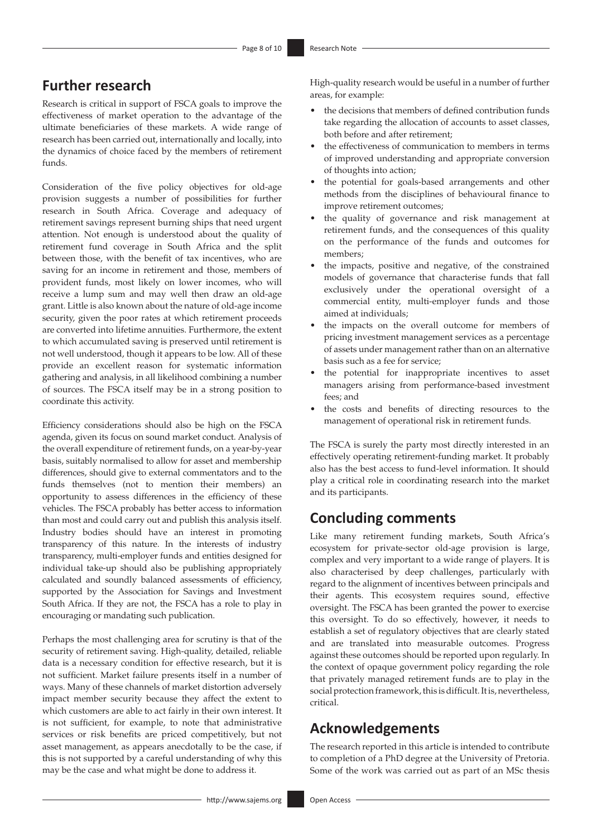# **Further research**

Research is critical in support of FSCA goals to improve the effectiveness of market operation to the advantage of the ultimate beneficiaries of these markets. A wide range of research has been carried out, internationally and locally, into the dynamics of choice faced by the members of retirement funds.

Consideration of the five policy objectives for old-age provision suggests a number of possibilities for further research in South Africa. Coverage and adequacy of retirement savings represent burning ships that need urgent attention. Not enough is understood about the quality of retirement fund coverage in South Africa and the split between those, with the benefit of tax incentives, who are saving for an income in retirement and those, members of provident funds, most likely on lower incomes, who will receive a lump sum and may well then draw an old-age grant. Little is also known about the nature of old-age income security, given the poor rates at which retirement proceeds are converted into lifetime annuities. Furthermore, the extent to which accumulated saving is preserved until retirement is not well understood, though it appears to be low. All of these provide an excellent reason for systematic information gathering and analysis, in all likelihood combining a number of sources. The FSCA itself may be in a strong position to coordinate this activity.

Efficiency considerations should also be high on the FSCA agenda, given its focus on sound market conduct. Analysis of the overall expenditure of retirement funds, on a year-by-year basis, suitably normalised to allow for asset and membership differences, should give to external commentators and to the funds themselves (not to mention their members) an opportunity to assess differences in the efficiency of these vehicles. The FSCA probably has better access to information than most and could carry out and publish this analysis itself. Industry bodies should have an interest in promoting transparency of this nature. In the interests of industry transparency, multi-employer funds and entities designed for individual take-up should also be publishing appropriately calculated and soundly balanced assessments of efficiency, supported by the Association for Savings and Investment South Africa. If they are not, the FSCA has a role to play in encouraging or mandating such publication.

Perhaps the most challenging area for scrutiny is that of the security of retirement saving. High-quality, detailed, reliable data is a necessary condition for effective research, but it is not sufficient. Market failure presents itself in a number of ways. Many of these channels of market distortion adversely impact member security because they affect the extent to which customers are able to act fairly in their own interest. It is not sufficient, for example, to note that administrative services or risk benefits are priced competitively, but not asset management, as appears anecdotally to be the case, if this is not supported by a careful understanding of why this may be the case and what might be done to address it.

High-quality research would be useful in a number of further areas, for example:

- the decisions that members of defined contribution funds take regarding the allocation of accounts to asset classes, both before and after retirement;
- the effectiveness of communication to members in terms of improved understanding and appropriate conversion of thoughts into action;
- the potential for goals-based arrangements and other methods from the disciplines of behavioural finance to improve retirement outcomes;
- the quality of governance and risk management at retirement funds, and the consequences of this quality on the performance of the funds and outcomes for members;
- the impacts, positive and negative, of the constrained models of governance that characterise funds that fall exclusively under the operational oversight of a commercial entity, multi-employer funds and those aimed at individuals;
- the impacts on the overall outcome for members of pricing investment management services as a percentage of assets under management rather than on an alternative basis such as a fee for service;
- the potential for inappropriate incentives to asset managers arising from performance-based investment fees; and
- the costs and benefits of directing resources to the management of operational risk in retirement funds.

The FSCA is surely the party most directly interested in an effectively operating retirement-funding market. It probably also has the best access to fund-level information. It should play a critical role in coordinating research into the market and its participants.

# **Concluding comments**

Like many retirement funding markets, South Africa's ecosystem for private-sector old-age provision is large, complex and very important to a wide range of players. It is also characterised by deep challenges, particularly with regard to the alignment of incentives between principals and their agents. This ecosystem requires sound, effective oversight. The FSCA has been granted the power to exercise this oversight. To do so effectively, however, it needs to establish a set of regulatory objectives that are clearly stated and are translated into measurable outcomes. Progress against these outcomes should be reported upon regularly. In the context of opaque government policy regarding the role that privately managed retirement funds are to play in the social protection framework, this is difficult. It is, nevertheless, critical.

# **Acknowledgements**

The research reported in this article is intended to contribute to completion of a PhD degree at the University of Pretoria. Some of the work was carried out as part of an MSc thesis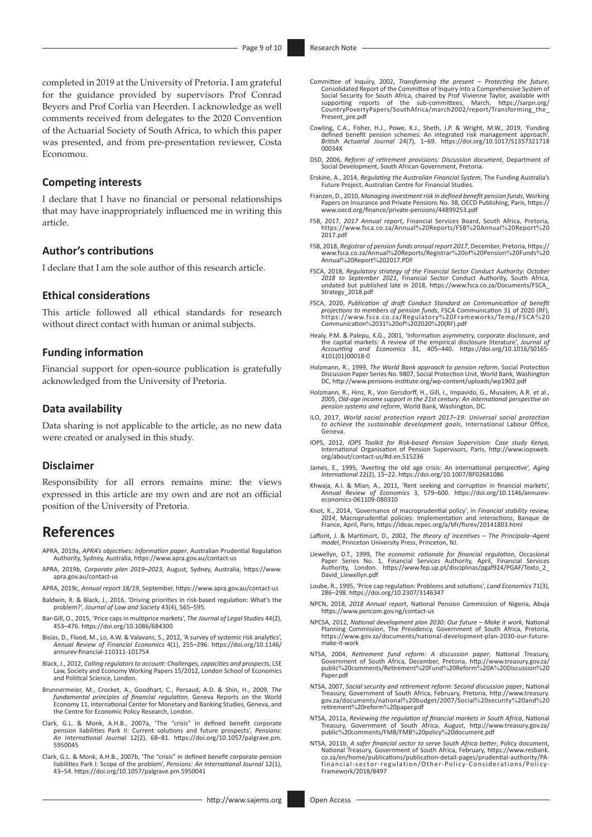completed in 2019 at the University of Pretoria. I am grateful for the guidance provided by supervisors Prof Conrad Beyers and Prof Corlia van Heerden. I acknowledge as well comments received from delegates to the 2020 Convention of the Actuarial Society of South Africa, to which this paper was presented, and from pre-presentation reviewer, Costa Economou.

#### **Competing interests**

I declare that I have no financial or personal relationships that may have inappropriately influenced me in writing this article.

#### **Author's contributions**

I declare that I am the sole author of this research article.

#### **Ethical considerations**

This article followed all ethical standards for research without direct contact with human or animal subjects.

#### **Funding information**

Financial support for open-source publication is gratefully acknowledged from the University of Pretoria.

#### **Data availability**

Data sharing is not applicable to the article, as no new data were created or analysed in this study.

#### **Disclaimer**

Responsibility for all errors remains mine: the views expressed in this article are my own and are not an official position of the University of Pretoria.

### **References**

- APRA, 2019a, *APRA's objectives: Information paper*, Australian Prudential Regulation Authority, Sydney, Australia, <https://www.apra.gov.au/contact-us>
- APRA, 2019b, *Corporate plan 2019–2023*, August, Sydney, Australia, [https://www.](https://www.apra.gov.au/contact-us) [apra.gov.au/contact-us](https://www.apra.gov.au/contact-us)
- APRA, 2019c, *Annual report 18/19*, September,<https://www.apra.gov.au/contact-us>
- Baldwin, R. & Black, J., 2016, 'Driving priorities in risk-based regulation: What's the problem?', *Journal of Law and Society* 43(4), 565–595.
- Bar-Gill, O., 2015, 'Price caps in multiprice markets', *The Journal of Legal Studies* 44(2), 453–476. <https://doi.org/10.1086/684300>
- Bisias, D., Flood, M., Lo, A.W. & Valavans, S., 2012, 'A survey of systemic risk analytics', *Annual Review of Financial Economics* 4(1), 255–296. [https://doi.org/10.1146/](https://doi.org/10.1146/annurev-financial-110311-101754) [annurev-financial-110311-101754](https://doi.org/10.1146/annurev-financial-110311-101754)
- Black, J., 2012, *Calling regulators to account: Challenges, capacities and prospects*, LSE Law, Society and Economy Working Papers 15/2012, London School of Economics and Political Science, London.
- Brunnermeier, M., Crocket, A., Goodhart, C., Persaud, A.D. & Shin, H., 2009, *The fundamental principles of financial regulation*, Geneva Reports on the World Economy 11, International Center for Monetary and Banking Studies, Geneva, and the Centre for Economic Policy Research, London.
- Clark, G.L. & Monk, A.H.B., 2007a, 'The "crisis" in defined benefit corporate pension liabilities Park II: Current solutions and future prospects', *Pensions: An International Journal* 12(2), 68–81. [https://doi.org/10.1057/palgrave.pm.](https://doi.org/10.1057/palgrave.pm.5950045) [5950045](https://doi.org/10.1057/palgrave.pm.5950045)
- Clark, G.L. & Monk, A.H.B., 2007b, 'The "crisis" in defined benefit corporate pension liabilities Park I: Scope of the problem', *Pensions: An International Journal* 12(1), 43–54. <https://doi.org/10.1057/palgrave.pm.5950041>
- Committee of Inquiry, 2002, *Transforming the present Protecting the future*, Consolidated Report of the Committee of Inquiry into a Comprehensive System of Social Security for South Africa, chaired by Prof Vivienne Taylor, available with<br>supporting reports of the sub-committees, March, [https://sarpn.org/](https://sarpn.org/CountryPovertyPapers/SouthAfrica/march2002/report/Transforming_the_Present_pre.pdf)<br>CountryPovertyPapers/SouthAfrica/march2002/report/Transformin [Present\\_pre.pdf](https://sarpn.org/CountryPovertyPapers/SouthAfrica/march2002/report/Transforming_the_Present_pre.pdf)
- Cowling, C.A., Fisher, H.J., Powe, K.J., Sheth, J.P. & Wright, M.W., 2019, 'Funding defined benefit pension schemes: An integrated risk management approach', *British Actuarial Journal* 24(7), 1–69. [https://doi.org/10.1017/S1357321718](https://doi.org/10.1017/S135732171800034X) [00034X](https://doi.org/10.1017/S135732171800034X)
- DSD, 2006, *Reform of retirement provisions: Discussion document*, Department of Social Development, South African Government, Pretoria.
- Erskine, A., 2014, *Regulating the Australian Financial System*, The Funding Australia's Future Project, Australian Centre for Financial Studies.
- Franzen, D., 2010, *Managing investment risk in defined benefit pension funds*, Working Papers on Insurance and Private Pensions No. 38, OECD Publishing, Paris, [https://](https://www.oecd.org/finance/private-pensions/44899253.pdf) [www.oecd.org/finance/private-pensions/44899253.pdf](https://www.oecd.org/finance/private-pensions/44899253.pdf)
- FSB, 2017, *2017 Annual report*, Financial Services Board, South Africa, Pretoria, [https://www.fsca.co.za/Annual](https://www.fsca.co.za/Annual%20Reports/FSB%20Annual%20Report%202017.pdf)%20Reports/FSB%20Annual%20Report%20 [2017.pdf](https://www.fsca.co.za/Annual%20Reports/FSB%20Annual%20Report%202017.pdf)
- FSB, 2018, *Registrar of pension funds annual report 2017*, December, Pretoria, [https://](https://www.fsca.co.za/Annual%20Reports/Registrar%20of%20Pension%20Funds%20Annual%20Report%202017.PDF) [www.fsca.co.za/Annual](https://www.fsca.co.za/Annual%20Reports/Registrar%20of%20Pension%20Funds%20Annual%20Report%202017.PDF)%20Reports/Registrar%20of%20Pension%20Funds%20 Annual%20Report%[202017.PDF](https://www.fsca.co.za/Annual%20Reports/Registrar%20of%20Pension%20Funds%20Annual%20Report%202017.PDF)
- FSCA, 2018, *Regulatory strategy of the Financial Sector Conduct Authority: October 2018 to September 2021*, Financial Sector Conduct Authority, South Africa, undated but published late in 2018, [https://www.fsca.co.za/Documents/FSCA\\_](https://www.fsca.co.za/Documents/FSCA_Strategy_2018.pdf) [Strategy\\_2018.pdf](https://www.fsca.co.za/Documents/FSCA_Strategy_2018.pdf)
- FSCA, 2020, *Publication of draft Conduct Standard on Communication of benefit projections to members of pension funds*, FSCA Communication 31 of 2020 (RF), [https://www.fsca.co.za/Regulatory](https://www.fsca.co.za/Regulatory%20Frameworks/Temp/FSCA%20Communication%2031%20of%202020%20(RF).pdf)%20Frameworks/Temp/FSCA%20 [Communication](https://www.fsca.co.za/Regulatory%20Frameworks/Temp/FSCA%20Communication%2031%20of%202020%20(RF).pdf)%2031%20of%202020%20(RF).pdf
- Healy, P.M. & Palepu, K.G., 2001, 'Information asymmetry, corporate disclosure, and the capital markets: A review of the empirical disclosure literature', *Journal of Accounting and Economics* 31, 405–440. [https://doi.org/10.1016/S0165-](https://doi.org/10.1016/S0165-4101(01)00018-0) [4101\(01\)00018-0](https://doi.org/10.1016/S0165-4101(01)00018-0)
- Holzmann, R., 1999, *The World Bank approach to pension reform*, Social Protection Discussion Paper Series No. 9807, Social Protection Unit, World Bank, Washington DC,<http://www.pensions-institute.org/wp-content/uploads/wp1902.pdf>
- Holzmann, R., Hinz, R., Von Gersdorff, H., Gill, I., Impavido, G., Musalem, A.R. et al., 2005, *Old-age income support in the 21st century: An international perspective on pension systems and reform*, World Bank, Washington, DC.
- ILO, 2017, *World social protection report 2017–19: Universal social protection to achieve the sustainable development goals*, International Labour Office, Geneva.
- IOPS, 2012, *IOPS Toolkit for Risk-based Pension Supervision: Case study Kenya*[,](http://www.iopsweb.org/about/contact-us/#d.en.515236) International Organisation of Pension Supervisors, Paris, [http://www.iopsweb.](http://www.iopsweb.org/about/contact-us/#d.en.515236) [org/about/contact-us/#d.en.515236](http://www.iopsweb.org/about/contact-us/#d.en.515236)
- [James](http://www.pensions-institute.org/wp-content/uploads/wp1902.pdfJames), E., 1995, 'Averting the old age crisis: An international perspective', *Aging International* 22(2), 15–22. <https://doi.org/10.1007/BF02681086>
- Khwaja, A.I. & Mian, A., 2011, 'Rent seeking and corruption in financial markets', *Annual Review of Economics* 3, 579–600. [https://doi.org/10.1146/annurev-](https://doi.org/10.1146/annurev-economics-061109-080310)[economics-061109-080310](https://doi.org/10.1146/annurev-economics-061109-080310)
- Knot, K., 2014, 'Governance of macroprudential policy', in *Financial stability review, 2014*, Macroprudential policies: Implementation and interactions, Banque de France, April, Paris,<https://ideas.repec.org/a/bfr/fisrev/20141803.html>
- Laffont, J. & Martimort, D., 2002, *The theory of incentives The Principala–Agent model*, Princeton University Press, Princeton, NJ.
- Llewellyn, D.T., 1999, *The economic rationale for financial regulation*, Occasional Paper Series No. 1, Financial Services Authority, April, Financial Services [https://www.fep.up.pt/disciplinas/pgaf924/PGAF/Texto\\_2\\_](https://www.fep.up.pt/disciplinas/pgaf924/PGAF/Texto_2_David_Llewellyn.pdf) Authority, London.<br>[David\\_Llewellyn.pdf](https://www.fep.up.pt/disciplinas/pgaf924/PGAF/Texto_2_David_Llewellyn.pdf)
- Loube, R., 1995, 'Price cap regulation: Problems and solutions', *Land Economics* 71(3), 286–298.<https://doi.org/10.2307/3146347>
- NPCN, 2018, *2018 Annual report*, National Pension Commission of Nigeria, Abuja <https://www.pencom.gov.ng/contact-us>
- NPCSA, 2012, *National development plan 2030: Our future Make it work*, National Planning Commission, The Presidency, Government of South Africa, Pretoria, [https://www.gov.za/documents/national-development-plan-2030-our-future](https://www.gov.za/documents/national-development-plan-2030-our-future-make-it-work)[make-it-work](https://www.gov.za/documents/national-development-plan-2030-our-future-make-it-work)
- NTSA, 2004, *Retirement fund reform: A discussion paper*, National Treasury, Government of South Africa, December, Pretoria, [http://www.treasury.gov.za/](http://www.treasury.gov.za/public%20comments/Retirement%20Fund%20Reform%20A%20Discussion%20Paper.pdf) public%[20comments/Retirement](http://www.treasury.gov.za/public%20comments/Retirement%20Fund%20Reform%20A%20Discussion%20Paper.pdf)%20Fund%20Reform%20A%20Discussion%20 [Paper.pdf](http://www.treasury.gov.za/public%20comments/Retirement%20Fund%20Reform%20A%20Discussion%20Paper.pdf)
- NTSA, 2007, *Social security and retirement reform: Second discussion paper*, National Treasury, Government of South Africa, February, Pretoria, [http://www.treasury.](http://www.treasury.gov.za/documents/national%20budget/2007/Social%20security%20and%20retirement%20reform%20paper.pdf) [gov.za/documents/national](http://www.treasury.gov.za/documents/national%20budget/2007/Social%20security%20and%20retirement%20reform%20paper.pdf)%20budget/2007/Social%20security%20and%20 retirement%20reform%[20paper.pdf](http://www.treasury.gov.za/documents/national%20budget/2007/Social%20security%20and%20retirement%20reform%20paper.pdf)
- NTSA, 2011a, *Reviewing the regulation of financial markets in South Africa*, National Treasury, Government of South Africa, August, [http://www.treasury.gov.za/](http://www.treasury.gov.za/public%20comments/FMB/FMB%20policy%20document.pdf) public%[20comments/FMB/FMB](http://www.treasury.gov.za/public%20comments/FMB/FMB%20policy%20document.pdf)%20policy%20document.pdf
- NTSA, 2011b, *A safer financial sector to serve South Africa better*, Policy document, National Treasury, Government of South Africa, February, [https://www.resbank.](https://www.resbank.co.za/en/home/publications/publication-detail-pages/prudential-authority/PA-financial-sector-regulation/Other-Policy-Considerations/Policy-Framework/2018/8497) [co.za/en/home/publications/publication-detail-pages/prudential-authority/PA-](https://www.resbank.co.za/en/home/publications/publication-detail-pages/prudential-authority/PA-financial-sector-regulation/Other-Policy-Considerations/Policy-Framework/2018/8497) [financial-sector-regulation/Other-Policy-Considerations/Policy-](https://www.resbank.co.za/en/home/publications/publication-detail-pages/prudential-authority/PA-financial-sector-regulation/Other-Policy-Considerations/Policy-Framework/2018/8497)[Framework/2018/8497](https://www.resbank.co.za/en/home/publications/publication-detail-pages/prudential-authority/PA-financial-sector-regulation/Other-Policy-Considerations/Policy-Framework/2018/8497)